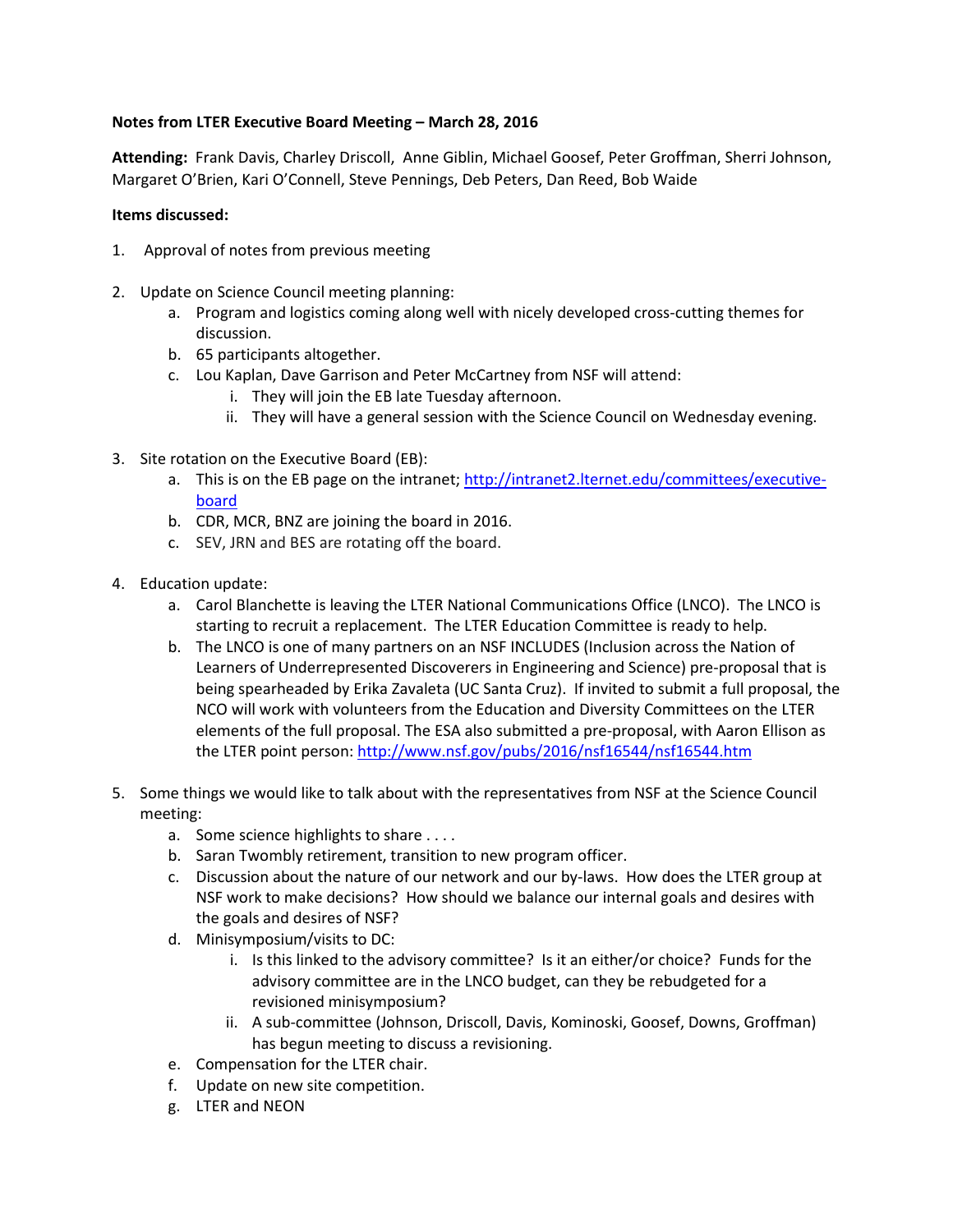## **Notes from LTER Executive Board Meeting – March 28, 2016**

**Attending:** Frank Davis, Charley Driscoll, Anne Giblin, Michael Goosef, Peter Groffman, Sherri Johnson, Margaret O'Brien, Kari O'Connell, Steve Pennings, Deb Peters, Dan Reed, Bob Waide

## **Items discussed:**

- 1. Approval of notes from previous meeting
- 2. Update on Science Council meeting planning:
	- a. Program and logistics coming along well with nicely developed cross-cutting themes for discussion.
	- b. 65 participants altogether.
	- c. Lou Kaplan, Dave Garrison and Peter McCartney from NSF will attend:
		- i. They will join the EB late Tuesday afternoon.
		- ii. They will have a general session with the Science Council on Wednesday evening.
- 3. Site rotation on the Executive Board (EB):
	- a. This is on the EB page on the intranet; [http://intranet2.lternet.edu/committees/executive](http://intranet2.lternet.edu/committees/executive-board)[board](http://intranet2.lternet.edu/committees/executive-board)
	- b. CDR, MCR, BNZ are joining the board in 2016.
	- c. SEV, JRN and BES are rotating off the board.
- 4. Education update:
	- a. Carol Blanchette is leaving the LTER National Communications Office (LNCO). The LNCO is starting to recruit a replacement. The LTER Education Committee is ready to help.
	- b. The LNCO is one of many partners on an NSF INCLUDES (Inclusion across the Nation of Learners of Underrepresented Discoverers in Engineering and Science) pre-proposal that is being spearheaded by Erika Zavaleta (UC Santa Cruz). If invited to submit a full proposal, the NCO will work with volunteers from the Education and Diversity Committees on the LTER elements of the full proposal. The ESA also submitted a pre-proposal, with Aaron Ellison as the LTER point person[: http://www.nsf.gov/pubs/2016/nsf16544/nsf16544.htm](http://www.nsf.gov/pubs/2016/nsf16544/nsf16544.htm)
- 5. Some things we would like to talk about with the representatives from NSF at the Science Council meeting:
	- a. Some science highlights to share . . . .
	- b. Saran Twombly retirement, transition to new program officer.
	- c. Discussion about the nature of our network and our by-laws. How does the LTER group at NSF work to make decisions? How should we balance our internal goals and desires with the goals and desires of NSF?
	- d. Minisymposium/visits to DC:
		- i. Is this linked to the advisory committee? Is it an either/or choice? Funds for the advisory committee are in the LNCO budget, can they be rebudgeted for a revisioned minisymposium?
		- ii. A sub-committee (Johnson, Driscoll, Davis, Kominoski, Goosef, Downs, Groffman) has begun meeting to discuss a revisioning.
	- e. Compensation for the LTER chair.
	- f. Update on new site competition.
	- g. LTER and NEON